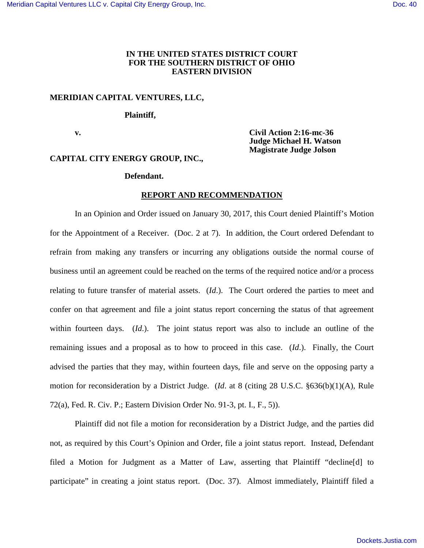# **IN THE UNITED STATES DISTRICT COURT FOR THE SOUTHERN DISTRICT OF OHIO EASTERN DIVISION**

# **MERIDIAN CAPITAL VENTURES, LLC,**

 **Plaintiff,**

 **v. Civil Action 2:16-mc-36 Judge Michael H. Watson Magistrate Judge Jolson** 

# **CAPITAL CITY ENERGY GROUP, INC.,**

## **Defendant.**

### **REPORT AND RECOMMENDATION**

In an Opinion and Order issued on January 30, 2017, this Court denied Plaintiff's Motion for the Appointment of a Receiver. (Doc. 2 at 7). In addition, the Court ordered Defendant to refrain from making any transfers or incurring any obligations outside the normal course of business until an agreement could be reached on the terms of the required notice and/or a process relating to future transfer of material assets. (*Id*.). The Court ordered the parties to meet and confer on that agreement and file a joint status report concerning the status of that agreement within fourteen days. (*Id*.). The joint status report was also to include an outline of the remaining issues and a proposal as to how to proceed in this case. (*Id*.). Finally, the Court advised the parties that they may, within fourteen days, file and serve on the opposing party a motion for reconsideration by a District Judge. (*Id*. at 8 (citing 28 U.S.C. §636(b)(1)(A), Rule 72(a), Fed. R. Civ. P.; Eastern Division Order No. 91-3, pt. I., F., 5)).

Plaintiff did not file a motion for reconsideration by a District Judge, and the parties did not, as required by this Court's Opinion and Order, file a joint status report. Instead, Defendant filed a Motion for Judgment as a Matter of Law, asserting that Plaintiff "decline[d] to participate" in creating a joint status report. (Doc. 37). Almost immediately, Plaintiff filed a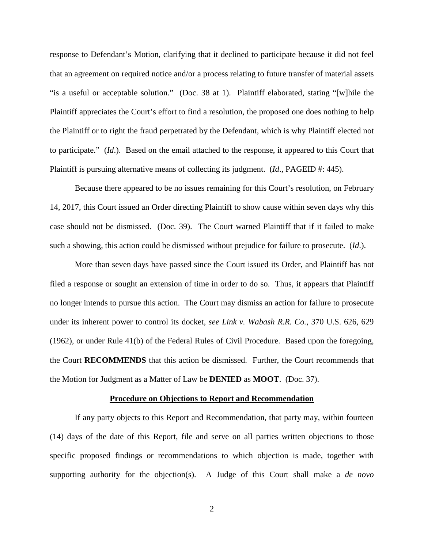response to Defendant's Motion, clarifying that it declined to participate because it did not feel that an agreement on required notice and/or a process relating to future transfer of material assets "is a useful or acceptable solution." (Doc. 38 at 1). Plaintiff elaborated, stating "[w]hile the Plaintiff appreciates the Court's effort to find a resolution, the proposed one does nothing to help the Plaintiff or to right the fraud perpetrated by the Defendant, which is why Plaintiff elected not to participate." (*Id*.). Based on the email attached to the response, it appeared to this Court that Plaintiff is pursuing alternative means of collecting its judgment. (*Id.*, PAGEID #: 445).

Because there appeared to be no issues remaining for this Court's resolution, on February 14, 2017, this Court issued an Order directing Plaintiff to show cause within seven days why this case should not be dismissed. (Doc. 39). The Court warned Plaintiff that if it failed to make such a showing, this action could be dismissed without prejudice for failure to prosecute. (*Id*.).

More than seven days have passed since the Court issued its Order, and Plaintiff has not filed a response or sought an extension of time in order to do so. Thus, it appears that Plaintiff no longer intends to pursue this action. The Court may dismiss an action for failure to prosecute under its inherent power to control its docket, *see Link v. Wabash R.R. Co.*, 370 U.S. 626, 629 (1962), or under Rule 41(b) of the Federal Rules of Civil Procedure. Based upon the foregoing, the Court **RECOMMENDS** that this action be dismissed. Further, the Court recommends that the Motion for Judgment as a Matter of Law be **DENIED** as **MOOT**. (Doc. 37).

#### **Procedure on Objections to Report and Recommendation**

If any party objects to this Report and Recommendation, that party may, within fourteen (14) days of the date of this Report, file and serve on all parties written objections to those specific proposed findings or recommendations to which objection is made, together with supporting authority for the objection(s). A Judge of this Court shall make a *de novo*